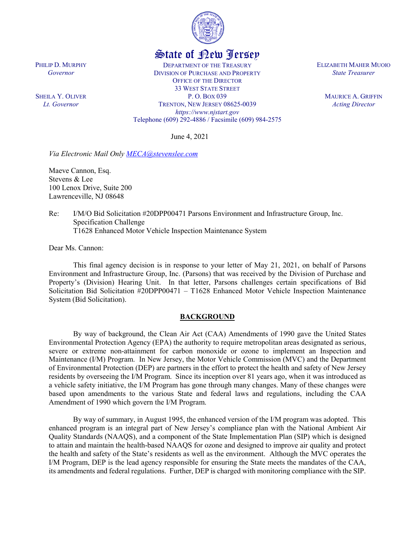

# State of New Jersey

DEPARTMENT OF THE TREASURY DIVISION OF PURCHASE AND PROPERTY OFFICE OF THE DIRECTOR 33 WEST STATE STREET P. O. BOX 039 TRENTON, NEW JERSEY 08625-0039 *https://www.njstart.gov* Telephone (609) 292-4886 / Facsimile (609) 984-2575

June 4, 2021

*Via Electronic Mail Only [MECA@stevenslee.com](mailto:MECA@stevenslee.com)*

Maeve Cannon, Esq. Stevens & Lee 100 Lenox Drive, Suite 200 Lawrenceville, NJ 08648

Re: I/M/O Bid Solicitation #20DPP00471 Parsons Environment and Infrastructure Group, Inc. Specification Challenge T1628 Enhanced Motor Vehicle Inspection Maintenance System

Dear Ms. Cannon:

PHILIP D. MURPHY *Governor*

SHEILA Y. OLIVER *Lt. Governor*

> This final agency decision is in response to your letter of May 21, 2021, on behalf of Parsons Environment and Infrastructure Group, Inc. (Parsons) that was received by the Division of Purchase and Property's (Division) Hearing Unit. In that letter, Parsons challenges certain specifications of Bid Solicitation Bid Solicitation #20DPP00471 – T1628 Enhanced Motor Vehicle Inspection Maintenance System (Bid Solicitation).

### **BACKGROUND**

By way of background, the Clean Air Act (CAA) Amendments of 1990 gave the United States Environmental Protection Agency (EPA) the authority to require metropolitan areas designated as serious, severe or extreme non-attainment for carbon monoxide or ozone to implement an Inspection and Maintenance (I/M) Program. In New Jersey, the Motor Vehicle Commission (MVC) and the Department of Environmental Protection (DEP) are partners in the effort to protect the health and safety of New Jersey residents by overseeing the I/M Program. Since its inception over 81 years ago, when it was introduced as a vehicle safety initiative, the I/M Program has gone through many changes. Many of these changes were based upon amendments to the various State and federal laws and regulations, including the CAA Amendment of 1990 which govern the I/M Program.

By way of summary, in August 1995, the enhanced version of the I/M program was adopted. This enhanced program is an integral part of New Jersey's compliance plan with the National Ambient Air Quality Standards (NAAQS), and a component of the State Implementation Plan (SIP) which is designed to attain and maintain the health-based NAAQS for ozone and designed to improve air quality and protect the health and safety of the State's residents as well as the environment. Although the MVC operates the I/M Program, DEP is the lead agency responsible for ensuring the State meets the mandates of the CAA, its amendments and federal regulations. Further, DEP is charged with monitoring compliance with the SIP.

ELIZABETH MAHER MUOIO *State Treasurer*

> MAURICE A. GRIFFIN *Acting Director*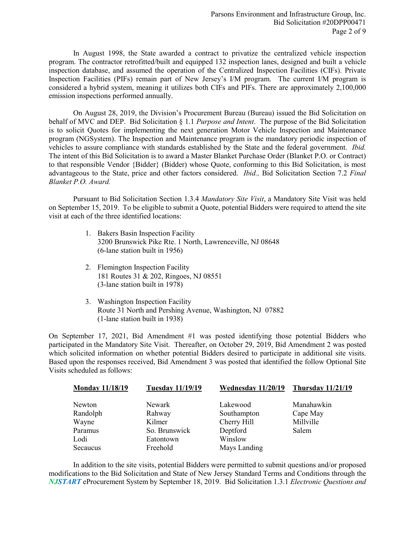In August 1998, the State awarded a contract to privatize the centralized vehicle inspection program. The contractor retrofitted/built and equipped 132 inspection lanes, designed and built a vehicle inspection database, and assumed the operation of the Centralized Inspection Facilities (CIFs). Private Inspection Facilities (PIFs) remain part of New Jersey's I/M program. The current I/M program is considered a hybrid system, meaning it utilizes both CIFs and PIFs. There are approximately 2,100,000 emission inspections performed annually.

On August 28, 2019, the Division's Procurement Bureau (Bureau) issued the Bid Solicitation on behalf of MVC and DEP. Bid Solicitation § 1.1 *Purpose and Intent*. The purpose of the Bid Solicitation is to solicit Quotes for implementing the next generation Motor Vehicle Inspection and Maintenance program (NGSystem). The Inspection and Maintenance program is the mandatory periodic inspection of vehicles to assure compliance with standards established by the State and the federal government. *Ibid.* The intent of this Bid Solicitation is to award a Master Blanket Purchase Order (Blanket P.O. or Contract) to that responsible Vendor {Bidder} (Bidder) whose Quote, conforming to this Bid Solicitation, is most advantageous to the State, price and other factors considered. *Ibid.,* Bid Solicitation Section 7.2 *Final Blanket P.O. Award.*

Pursuant to Bid Solicitation Section 1.3.4 *Mandatory Site Visit*, a Mandatory Site Visit was held on September 15, 2019. To be eligible to submit a Quote, potential Bidders were required to attend the site visit at each of the three identified locations:

- 1. Bakers Basin Inspection Facility 3200 Brunswick Pike Rte. 1 North, Lawrenceville, NJ 08648 (6-lane station built in 1956)
- 2. Flemington Inspection Facility 181 Routes 31 & 202, Ringoes, NJ 08551 (3-lane station built in 1978)
- 3. Washington Inspection Facility Route 31 North and Pershing Avenue, Washington, NJ 07882 (1-lane station built in 1938)

On September 17, 2021, Bid Amendment #1 was posted identifying those potential Bidders who participated in the Mandatory Site Visit. Thereafter, on October 29, 2019, Bid Amendment 2 was posted which solicited information on whether potential Bidders desired to participate in additional site visits. Based upon the responses received, Bid Amendment 3 was posted that identified the follow Optional Site Visits scheduled as follows:

| <b>Monday 11/18/19</b> | <b>Tuesday 11/19/19</b> | Wednesday 11/20/19 | <b>Thursday 11/21/19</b> |  |  |
|------------------------|-------------------------|--------------------|--------------------------|--|--|
| Newton                 | Newark                  | Lakewood           | Manahawkin               |  |  |
| Randolph               | Rahway                  | Southampton        | Cape May                 |  |  |
| Wayne                  | Kilmer                  | Cherry Hill        | Millville                |  |  |
| Paramus                | So. Brunswick           | Deptford           | Salem                    |  |  |
| Lodi                   | Eatontown               | Winslow            |                          |  |  |
| Secaucus               | Freehold                | Mays Landing       |                          |  |  |

In addition to the site visits, potential Bidders were permitted to submit questions and/or proposed modifications to the Bid Solicitation and State of New Jersey Standard Terms and Conditions through the *NJSTART* eProcurement System by September 18, 2019. Bid Solicitation 1.3.1 *Electronic Questions and*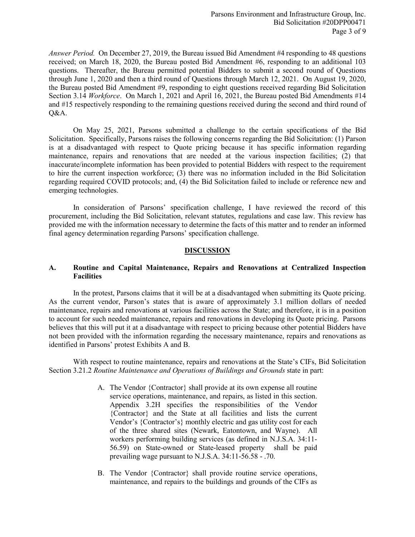*Answer Period.* On December 27, 2019, the Bureau issued Bid Amendment #4 responding to 48 questions received; on March 18, 2020, the Bureau posted Bid Amendment #6, responding to an additional 103 questions. Thereafter, the Bureau permitted potential Bidders to submit a second round of Questions through June 1, 2020 and then a third round of Questions through March 12, 2021. On August 19, 2020, the Bureau posted Bid Amendment #9, responding to eight questions received regarding Bid Solicitation Section 3.14 *Workforce*. On March 1, 2021 and April 16, 2021, the Bureau posted Bid Amendments #14 and #15 respectively responding to the remaining questions received during the second and third round of Q&A.

On May 25, 2021, Parsons submitted a challenge to the certain specifications of the Bid Solicitation. Specifically, Parsons raises the following concerns regarding the Bid Solicitation: (1) Parson is at a disadvantaged with respect to Quote pricing because it has specific information regarding maintenance, repairs and renovations that are needed at the various inspection facilities; (2) that inaccurate/incomplete information has been provided to potential Bidders with respect to the requirement to hire the current inspection workforce; (3) there was no information included in the Bid Solicitation regarding required COVID protocols; and, (4) the Bid Solicitation failed to include or reference new and emerging technologies.

In consideration of Parsons' specification challenge, I have reviewed the record of this procurement, including the Bid Solicitation, relevant statutes, regulations and case law. This review has provided me with the information necessary to determine the facts of this matter and to render an informed final agency determination regarding Parsons' specification challenge.

### **DISCUSSION**

#### **A. Routine and Capital Maintenance, Repairs and Renovations at Centralized Inspection Facilities**

In the protest, Parsons claims that it will be at a disadvantaged when submitting its Quote pricing. As the current vendor, Parson's states that is aware of approximately 3.1 million dollars of needed maintenance, repairs and renovations at various facilities across the State; and therefore, it is in a position to account for such needed maintenance, repairs and renovations in developing its Quote pricing. Parsons believes that this will put it at a disadvantage with respect to pricing because other potential Bidders have not been provided with the information regarding the necessary maintenance, repairs and renovations as identified in Parsons' protest Exhibits A and B.

With respect to routine maintenance, repairs and renovations at the State's CIFs, Bid Solicitation Section 3.21.2 *Routine Maintenance and Operations of Buildings and Grounds* state in part:

- A. The Vendor {Contractor} shall provide at its own expense all routine service operations, maintenance, and repairs, as listed in this section. Appendix 3.2H specifies the responsibilities of the Vendor {Contractor} and the State at all facilities and lists the current Vendor's {Contractor's} monthly electric and gas utility cost for each of the three shared sites (Newark, Eatontown, and Wayne). All workers performing building services (as defined in N.J.S.A. 34:11- 56.59) on State-owned or State-leased property shall be paid prevailing wage pursuant to N.J.S.A. 34:11-56.58 - .70.
- B. The Vendor {Contractor} shall provide routine service operations, maintenance, and repairs to the buildings and grounds of the CIFs as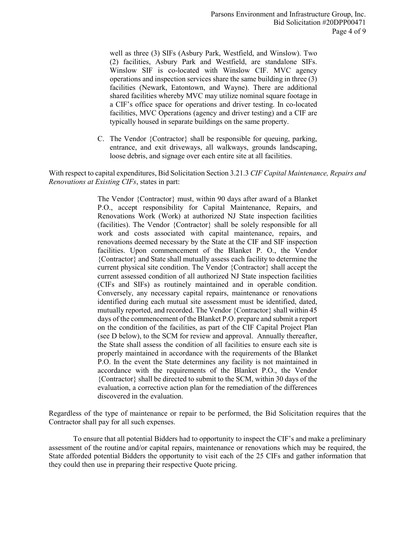well as three (3) SIFs (Asbury Park, Westfield, and Winslow). Two (2) facilities, Asbury Park and Westfield, are standalone SIFs. Winslow SIF is co-located with Winslow CIF. MVC agency operations and inspection services share the same building in three (3) facilities (Newark, Eatontown, and Wayne). There are additional shared facilities whereby MVC may utilize nominal square footage in a CIF's office space for operations and driver testing. In co-located facilities, MVC Operations (agency and driver testing) and a CIF are typically housed in separate buildings on the same property.

C. The Vendor {Contractor} shall be responsible for queuing, parking, entrance, and exit driveways, all walkways, grounds landscaping, loose debris, and signage over each entire site at all facilities.

With respect to capital expenditures, Bid Solicitation Section 3.21.3 *CIF Capital Maintenance, Repairs and Renovations at Existing CIFs*, states in part:

> The Vendor {Contractor} must, within 90 days after award of a Blanket P.O., accept responsibility for Capital Maintenance, Repairs, and Renovations Work (Work) at authorized NJ State inspection facilities (facilities). The Vendor {Contractor} shall be solely responsible for all work and costs associated with capital maintenance, repairs, and renovations deemed necessary by the State at the CIF and SIF inspection facilities. Upon commencement of the Blanket P. O., the Vendor {Contractor} and State shall mutually assess each facility to determine the current physical site condition. The Vendor {Contractor} shall accept the current assessed condition of all authorized NJ State inspection facilities (CIFs and SIFs) as routinely maintained and in operable condition. Conversely, any necessary capital repairs, maintenance or renovations identified during each mutual site assessment must be identified, dated, mutually reported, and recorded. The Vendor {Contractor} shall within 45 days of the commencement of the Blanket P.O. prepare and submit a report on the condition of the facilities, as part of the CIF Capital Project Plan (see D below), to the SCM for review and approval. Annually thereafter, the State shall assess the condition of all facilities to ensure each site is properly maintained in accordance with the requirements of the Blanket P.O. In the event the State determines any facility is not maintained in accordance with the requirements of the Blanket P.O., the Vendor {Contractor} shall be directed to submit to the SCM, within 30 days of the evaluation, a corrective action plan for the remediation of the differences discovered in the evaluation.

Regardless of the type of maintenance or repair to be performed, the Bid Solicitation requires that the Contractor shall pay for all such expenses.

To ensure that all potential Bidders had to opportunity to inspect the CIF's and make a preliminary assessment of the routine and/or capital repairs, maintenance or renovations which may be required, the State afforded potential Bidders the opportunity to visit each of the 25 CIFs and gather information that they could then use in preparing their respective Quote pricing.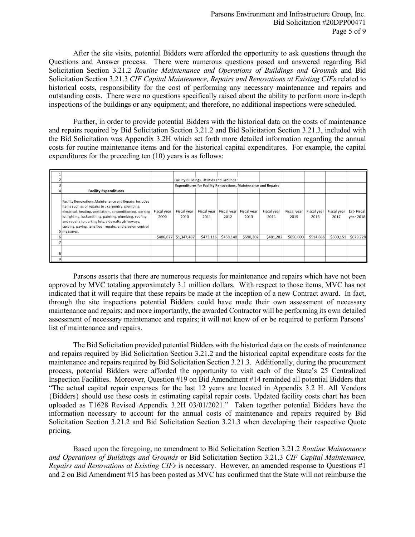After the site visits, potential Bidders were afforded the opportunity to ask questions through the Questions and Answer process. There were numerous questions posed and answered regarding Bid Solicitation Section 3.21.2 *Routine Maintenance and Operations of Buildings and Grounds* and Bid Solicitation Section 3.21.3 *CIF Capital Maintenance, Repairs and Renovations at Existing CIFs* related to historical costs, responsibility for the cost of performing any necessary maintenance and repairs and outstanding costs. There were no questions specifically raised about the ability to perform more in-depth inspections of the buildings or any equipment; and therefore, no additional inspections were scheduled.

Further, in order to provide potential Bidders with the historical data on the costs of maintenance and repairs required by Bid Solicitation Section 3.21.2 and Bid Solicitation Section 3.21.3, included with the Bid Solicitation was Appendix 3.2H which set forth more detailed information regarding the annual costs for routine maintenance items and for the historical capital expenditures. For example, the capital expenditures for the preceding ten (10) years is as follows:

|  |                                                                                                                                                                                                                                                                                                                                                                        |                     | Facility Buildings, Utilities and Grounds                             |                     |                     |                     |                     |                     |                     |                     |                         |
|--|------------------------------------------------------------------------------------------------------------------------------------------------------------------------------------------------------------------------------------------------------------------------------------------------------------------------------------------------------------------------|---------------------|-----------------------------------------------------------------------|---------------------|---------------------|---------------------|---------------------|---------------------|---------------------|---------------------|-------------------------|
|  |                                                                                                                                                                                                                                                                                                                                                                        |                     | <b>Expenditures for Facility Renovations, Maintenance and Repairs</b> |                     |                     |                     |                     |                     |                     |                     |                         |
|  | <b>Facility Expenditures</b>                                                                                                                                                                                                                                                                                                                                           |                     |                                                                       |                     |                     |                     |                     |                     |                     |                     |                         |
|  | Facility Renovations, Maintenance and Repairs Includes<br>items such as or repairs to: carpentry, plumbing,<br>electrical, heating, ventilation, air conditioning, parking<br>lot lighting, locksmithing, painting, plumbing, roofing<br>and repairs to parking lots, sidewalks, driveways,<br>curbing, paving, lane floor repairs, and erosion control<br>5 measures. | Fiscal year<br>2009 | Fiscal year<br>2010                                                   | Fiscal year<br>2011 | Fiscal year<br>2012 | Fiscal year<br>2013 | Fiscal year<br>2014 | Fiscal year<br>2015 | Fiscal year<br>2016 | Fiscal year<br>2017 | Est-Fiscal<br>year 2018 |
|  |                                                                                                                                                                                                                                                                                                                                                                        | \$486,877           | \$1,347,487                                                           | \$473,116           | \$458,140           | \$590,302           | \$481,282           | \$650,000           | \$514,886           | \$500,151           | \$679,728               |
|  |                                                                                                                                                                                                                                                                                                                                                                        |                     |                                                                       |                     |                     |                     |                     |                     |                     |                     |                         |
|  |                                                                                                                                                                                                                                                                                                                                                                        |                     |                                                                       |                     |                     |                     |                     |                     |                     |                     |                         |
|  |                                                                                                                                                                                                                                                                                                                                                                        |                     |                                                                       |                     |                     |                     |                     |                     |                     |                     |                         |

Parsons asserts that there are numerous requests for maintenance and repairs which have not been approved by MVC totaling approximately 3.1 million dollars. With respect to those items, MVC has not indicated that it will require that these repairs be made at the inception of a new Contract award. In fact, through the site inspections potential Bidders could have made their own assessment of necessary maintenance and repairs; and more importantly, the awarded Contractor will be performing its own detailed assessment of necessary maintenance and repairs; it will not know of or be required to perform Parsons' list of maintenance and repairs.

The Bid Solicitation provided potential Bidders with the historical data on the costs of maintenance and repairs required by Bid Solicitation Section 3.21.2 and the historical capital expenditure costs for the maintenance and repairs required by Bid Solicitation Section 3.21.3. Additionally, during the procurement process, potential Bidders were afforded the opportunity to visit each of the State's 25 Centralized Inspection Facilities. Moreover, Question #19 on Bid Amendment #14 reminded all potential Bidders that "The actual capital repair expenses for the last 12 years are located in Appendix 3.2 H. All Vendors {Bidders} should use these costs in estimating capital repair costs. Updated facility costs chart has been uploaded as T1628 Revised Appendix 3.2H 03/01/2021." Taken together potential Bidders have the information necessary to account for the annual costs of maintenance and repairs required by Bid Solicitation Section 3.21.2 and Bid Solicitation Section 3.21.3 when developing their respective Quote pricing.

Based upon the foregoing, no amendment to Bid Solicitation Section 3.21.2 *Routine Maintenance and Operations of Buildings and Grounds* or Bid Solicitation Section 3.21.3 *CIF Capital Maintenance, Repairs and Renovations at Existing CIFs* is necessary. However, an amended response to Questions #1 and 2 on Bid Amendment #15 has been posted as MVC has confirmed that the State will not reimburse the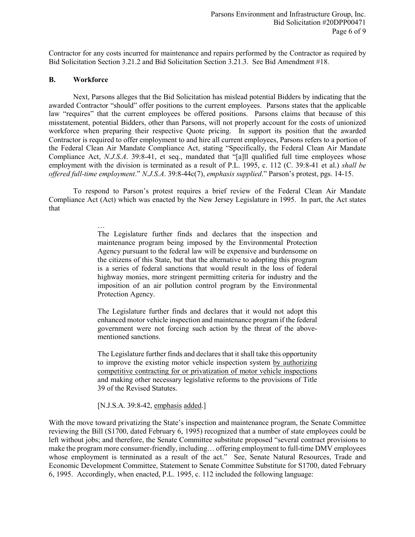Contractor for any costs incurred for maintenance and repairs performed by the Contractor as required by Bid Solicitation Section 3.21.2 and Bid Solicitation Section 3.21.3. See Bid Amendment #18.

#### **B. Workforce**

…

Next, Parsons alleges that the Bid Solicitation has mislead potential Bidders by indicating that the awarded Contractor "should" offer positions to the current employees. Parsons states that the applicable law "requires" that the current employees be offered positions. Parsons claims that because of this misstatement, potential Bidders, other than Parsons, will not properly account for the costs of unionized workforce when preparing their respective Quote pricing. In support its position that the awarded Contractor is required to offer employment to and hire all current employees, Parsons refers to a portion of the Federal Clean Air Mandate Compliance Act, stating "Specifically, the Federal Clean Air Mandate Compliance Act, *N.J.S.A*. 39:8-41, et seq., mandated that "[a]ll qualified full time employees whose employment with the division is terminated as a result of P.L. 1995, c. 112 (C. 39:8-41 et al.) *shall be offered full-time employment*." *N.J.S.A*. 39:8-44c(7), *emphasis supplied*." Parson's protest, pgs. 14-15.

To respond to Parson's protest requires a brief review of the Federal Clean Air Mandate Compliance Act (Act) which was enacted by the New Jersey Legislature in 1995. In part, the Act states that

> The Legislature further finds and declares that the inspection and maintenance program being imposed by the Environmental Protection Agency pursuant to the federal law will be expensive and burdensome on the citizens of this State, but that the alternative to adopting this program is a series of federal sanctions that would result in the loss of federal highway monies, more stringent permitting criteria for industry and the imposition of an air pollution control program by the Environmental Protection Agency.

> The Legislature further finds and declares that it would not adopt this enhanced motor vehicle inspection and maintenance program if the federal government were not forcing such action by the threat of the abovementioned sanctions.

> The Legislature further finds and declares that it shall take this opportunity to improve the existing motor vehicle inspection system by authorizing competitive contracting for or privatization of motor vehicle inspections and making other necessary legislative reforms to the provisions of Title 39 of the Revised Statutes.

[N.J.S.A. 39:8-42, emphasis added.]

With the move toward privatizing the State's inspection and maintenance program, the Senate Committee reviewing the Bill (S1700, dated February 6, 1995) recognized that a number of state employees could be left without jobs; and therefore, the Senate Committee substitute proposed "several contract provisions to make the program more consumer-friendly, including… offering employment to full-time DMV employees whose employment is terminated as a result of the act." See, Senate Natural Resources, Trade and Economic Development Committee, Statement to Senate Committee Substitute for S1700, dated February 6, 1995. Accordingly, when enacted, P.L. 1995, c. 112 included the following language: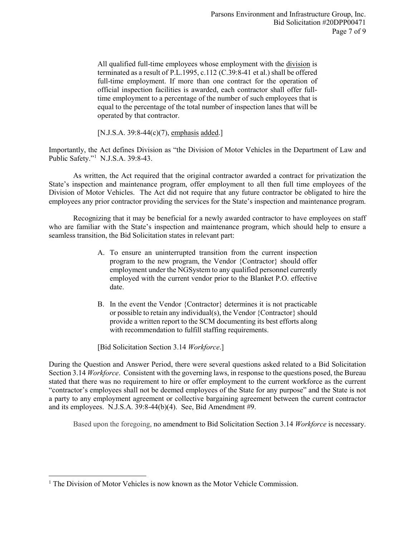All qualified full-time employees whose employment with the division is terminated as a result of P.L.1995, c.112 (C.39:8-41 et al.) shall be offered full-time employment. If more than one contract for the operation of official inspection facilities is awarded, each contractor shall offer fulltime employment to a percentage of the number of such employees that is equal to the percentage of the total number of inspection lanes that will be operated by that contractor.

[N.J.S.A. 39:8-44 $(c)(7)$ , emphasis added.]

Importantly, the Act defines Division as "the Division of Motor Vehicles in the Department of Law and Public Safety."[1](#page-6-0) N.J.S.A. 39:8-43.

As written, the Act required that the original contractor awarded a contract for privatization the State's inspection and maintenance program, offer employment to all then full time employees of the Division of Motor Vehicles. The Act did not require that any future contractor be obligated to hire the employees any prior contractor providing the services for the State's inspection and maintenance program.

Recognizing that it may be beneficial for a newly awarded contractor to have employees on staff who are familiar with the State's inspection and maintenance program, which should help to ensure a seamless transition, the Bid Solicitation states in relevant part:

- A. To ensure an uninterrupted transition from the current inspection program to the new program, the Vendor {Contractor} should offer employment under the NGSystem to any qualified personnel currently employed with the current vendor prior to the Blanket P.O. effective date.
- B. In the event the Vendor {Contractor} determines it is not practicable or possible to retain any individual(s), the Vendor {Contractor} should provide a written report to the SCM documenting its best efforts along with recommendation to fulfill staffing requirements.

[Bid Solicitation Section 3.14 *Workforce*.]

During the Question and Answer Period, there were several questions asked related to a Bid Solicitation Section 3.14 *Workforce*. Consistent with the governing laws, in response to the questions posed, the Bureau stated that there was no requirement to hire or offer employment to the current workforce as the current "contractor's employees shall not be deemed employees of the State for any purpose" and the State is not a party to any employment agreement or collective bargaining agreement between the current contractor and its employees. N.J.S.A. 39:8-44(b)(4). See, Bid Amendment #9.

Based upon the foregoing, no amendment to Bid Solicitation Section 3.14 *Workforce* is necessary.

l

<span id="page-6-0"></span><sup>&</sup>lt;sup>1</sup> The Division of Motor Vehicles is now known as the Motor Vehicle Commission.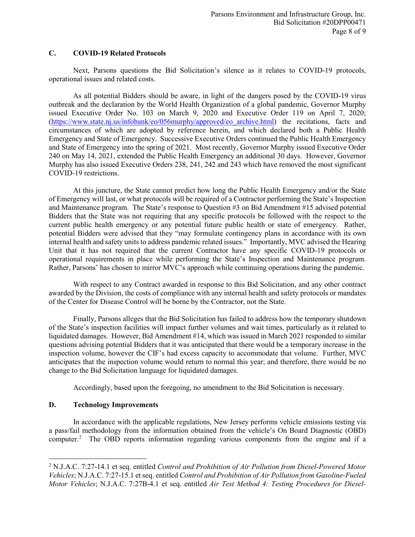### **C. COVID-19 Related Protocols**

Next, Parsons questions the Bid Solicitation's silence as it relates to COVID-19 protocols, operational issues and related costs.

As all potential Bidders should be aware, in light of the dangers posed by the COVID-19 virus outbreak and the declaration by the World Health Organization of a global pandemic, Governor Murphy issued Executive Order No. 103 on March 9, 2020 and Executive Order 119 on April 7, 2020; [\(https://www.state.nj.us/infobank/eo/056murphy/approved/eo\\_archive.html\)](https://www.state.nj.us/infobank/eo/056murphy/approved/eo_archive.html) the recitations, facts and circumstances of which are adopted by reference herein, and which declared both a Public Health Emergency and State of Emergency. Successive Executive Orders continued the Public Health Emergency and State of Emergency into the spring of 2021. Most recently, Governor Murphy issued Executive Order 240 on May 14, 2021, extended the Public Health Emergency an additional 30 days. However, Governor Murphy has also issued Executive Orders 238, 241, 242 and 243 which have removed the most significant COVID-19 restrictions.

At this juncture, the State cannot predict how long the Public Health Emergency and/or the State of Emergency will last, or what protocols will be required of a Contractor performing the State's Inspection and Maintenance program. The State's response to Question #3 on Bid Amendment #15 advised potential Bidders that the State was not requiring that any specific protocols be followed with the respect to the current public health emergency or any potential future public health or state of emergency. Rather, potential Bidders were advised that they "may formulate contingency plans in accordance with its own internal health and safety units to address pandemic related issues." Importantly, MVC advised the Hearing Unit that it has not required that the current Contractor have any specific COVID-19 protocols or operational requirements in place while performing the State's Inspection and Maintenance program. Rather, Parsons' has chosen to mirror MVC's approach while continuing operations during the pandemic.

With respect to any Contract awarded in response to this Bid Solicitation, and any other contract awarded by the Division, the costs of compliance with any internal health and safety protocols or mandates of the Center for Disease Control will be borne by the Contractor, not the State.

Finally, Parsons alleges that the Bid Solicitation has failed to address how the temporary shutdown of the State's inspection facilities will impact further volumes and wait times, particularly as it related to liquidated damages. However, Bid Amendment #14, which was issued in March 2021 responded to similar questions advising potential Bidders that it was anticipated that there would be a temporary increase in the inspection volume, however the CIF's had excess capacity to accommodate that volume. Further, MVC anticipates that the inspection volume would return to normal this year; and therefore, there would be no change to the Bid Solicitation language for liquidated damages.

Accordingly, based upon the foregoing, no amendment to the Bid Solicitation is necessary.

### **D. Technology Improvements**

 $\overline{\phantom{a}}$ 

In accordance with the applicable regulations, New Jersey performs vehicle emissions testing via a pass/fail methodology from the information obtained from the vehicle's On Board Diagnostic (OBD) computer. [2](#page-7-0) The OBD reports information regarding various components from the engine and if a

<span id="page-7-0"></span><sup>2</sup> N.J.A.C. 7:27-14.1 et seq. entitled *Control and Prohibition of Air Pollution from Diesel-Powered Motor Vehicles*; N.J.A.C. 7:27-15.1 et seq. entitled *Control and Prohibition of Air Pollution from Gasoline-Fueled Motor Vehicles*; N.J.A.C. 7:27B-4.1 et seq. entitled *Air Test Method 4: Testing Procedures for Diesel-*